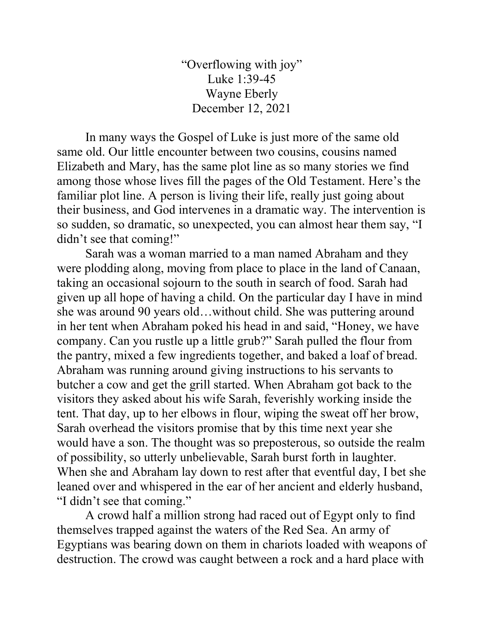"Overflowing with joy" Luke 1:39-45 Wayne Eberly December 12, 2021

 In many ways the Gospel of Luke is just more of the same old same old. Our little encounter between two cousins, cousins named Elizabeth and Mary, has the same plot line as so many stories we find among those whose lives fill the pages of the Old Testament. Here's the familiar plot line. A person is living their life, really just going about their business, and God intervenes in a dramatic way. The intervention is so sudden, so dramatic, so unexpected, you can almost hear them say, "I didn't see that coming!"

 Sarah was a woman married to a man named Abraham and they were plodding along, moving from place to place in the land of Canaan, taking an occasional sojourn to the south in search of food. Sarah had given up all hope of having a child. On the particular day I have in mind she was around 90 years old…without child. She was puttering around in her tent when Abraham poked his head in and said, "Honey, we have company. Can you rustle up a little grub?" Sarah pulled the flour from the pantry, mixed a few ingredients together, and baked a loaf of bread. Abraham was running around giving instructions to his servants to butcher a cow and get the grill started. When Abraham got back to the visitors they asked about his wife Sarah, feverishly working inside the tent. That day, up to her elbows in flour, wiping the sweat off her brow, Sarah overhead the visitors promise that by this time next year she would have a son. The thought was so preposterous, so outside the realm of possibility, so utterly unbelievable, Sarah burst forth in laughter. When she and Abraham lay down to rest after that eventful day, I bet she leaned over and whispered in the ear of her ancient and elderly husband, "I didn't see that coming."

 A crowd half a million strong had raced out of Egypt only to find themselves trapped against the waters of the Red Sea. An army of Egyptians was bearing down on them in chariots loaded with weapons of destruction. The crowd was caught between a rock and a hard place with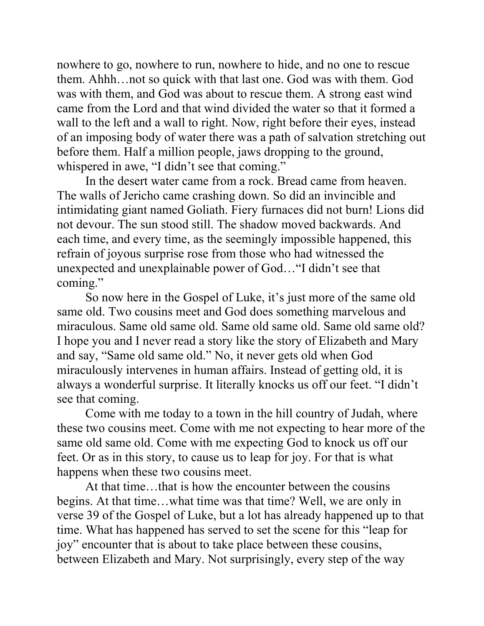nowhere to go, nowhere to run, nowhere to hide, and no one to rescue them. Ahhh…not so quick with that last one. God was with them. God was with them, and God was about to rescue them. A strong east wind came from the Lord and that wind divided the water so that it formed a wall to the left and a wall to right. Now, right before their eyes, instead of an imposing body of water there was a path of salvation stretching out before them. Half a million people, jaws dropping to the ground, whispered in awe, "I didn't see that coming."

 In the desert water came from a rock. Bread came from heaven. The walls of Jericho came crashing down. So did an invincible and intimidating giant named Goliath. Fiery furnaces did not burn! Lions did not devour. The sun stood still. The shadow moved backwards. And each time, and every time, as the seemingly impossible happened, this refrain of joyous surprise rose from those who had witnessed the unexpected and unexplainable power of God…"I didn't see that coming."

 So now here in the Gospel of Luke, it's just more of the same old same old. Two cousins meet and God does something marvelous and miraculous. Same old same old. Same old same old. Same old same old? I hope you and I never read a story like the story of Elizabeth and Mary and say, "Same old same old." No, it never gets old when God miraculously intervenes in human affairs. Instead of getting old, it is always a wonderful surprise. It literally knocks us off our feet. "I didn't see that coming.

 Come with me today to a town in the hill country of Judah, where these two cousins meet. Come with me not expecting to hear more of the same old same old. Come with me expecting God to knock us off our feet. Or as in this story, to cause us to leap for joy. For that is what happens when these two cousins meet.

 At that time…that is how the encounter between the cousins begins. At that time…what time was that time? Well, we are only in verse 39 of the Gospel of Luke, but a lot has already happened up to that time. What has happened has served to set the scene for this "leap for joy" encounter that is about to take place between these cousins, between Elizabeth and Mary. Not surprisingly, every step of the way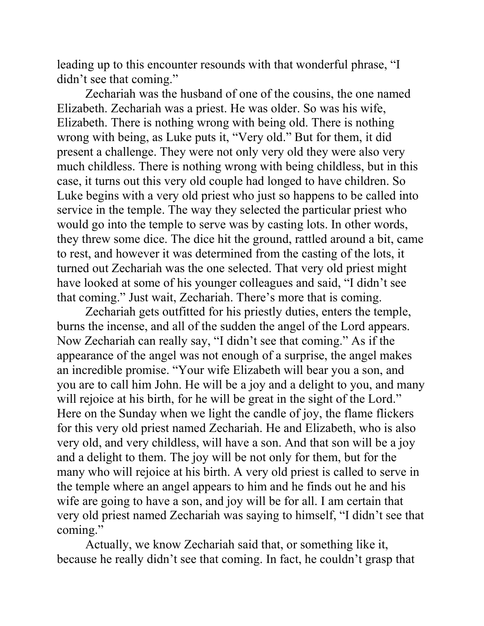leading up to this encounter resounds with that wonderful phrase, "I didn't see that coming."

 Zechariah was the husband of one of the cousins, the one named Elizabeth. Zechariah was a priest. He was older. So was his wife, Elizabeth. There is nothing wrong with being old. There is nothing wrong with being, as Luke puts it, "Very old." But for them, it did present a challenge. They were not only very old they were also very much childless. There is nothing wrong with being childless, but in this case, it turns out this very old couple had longed to have children. So Luke begins with a very old priest who just so happens to be called into service in the temple. The way they selected the particular priest who would go into the temple to serve was by casting lots. In other words, they threw some dice. The dice hit the ground, rattled around a bit, came to rest, and however it was determined from the casting of the lots, it turned out Zechariah was the one selected. That very old priest might have looked at some of his younger colleagues and said, "I didn't see that coming." Just wait, Zechariah. There's more that is coming.

 Zechariah gets outfitted for his priestly duties, enters the temple, burns the incense, and all of the sudden the angel of the Lord appears. Now Zechariah can really say, "I didn't see that coming." As if the appearance of the angel was not enough of a surprise, the angel makes an incredible promise. "Your wife Elizabeth will bear you a son, and you are to call him John. He will be a joy and a delight to you, and many will rejoice at his birth, for he will be great in the sight of the Lord." Here on the Sunday when we light the candle of joy, the flame flickers for this very old priest named Zechariah. He and Elizabeth, who is also very old, and very childless, will have a son. And that son will be a joy and a delight to them. The joy will be not only for them, but for the many who will rejoice at his birth. A very old priest is called to serve in the temple where an angel appears to him and he finds out he and his wife are going to have a son, and joy will be for all. I am certain that very old priest named Zechariah was saying to himself, "I didn't see that coming."

 Actually, we know Zechariah said that, or something like it, because he really didn't see that coming. In fact, he couldn't grasp that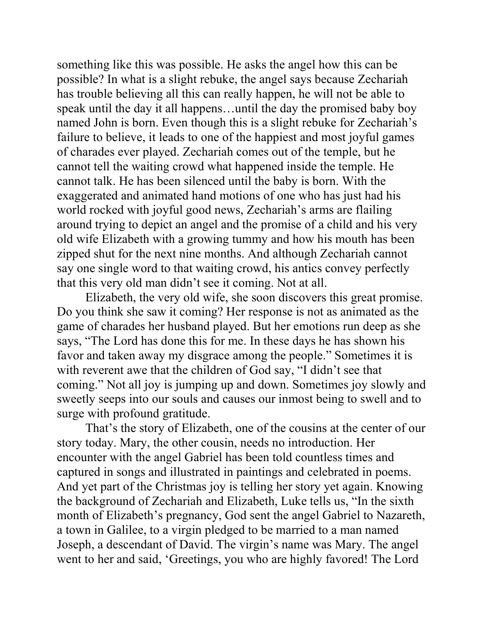something like this was possible. He asks the angel how this can be possible? In what is a slight rebuke, the angel says because Zechariah has trouble believing all this can really happen, he will not be able to speak until the day it all happens…until the day the promised baby boy named John is born. Even though this is a slight rebuke for Zechariah's failure to believe, it leads to one of the happiest and most joyful games of charades ever played. Zechariah comes out of the temple, but he cannot tell the waiting crowd what happened inside the temple. He cannot talk. He has been silenced until the baby is born. With the exaggerated and animated hand motions of one who has just had his world rocked with joyful good news, Zechariah's arms are flailing around trying to depict an angel and the promise of a child and his very old wife Elizabeth with a growing tummy and how his mouth has been zipped shut for the next nine months. And although Zechariah cannot say one single word to that waiting crowd, his antics convey perfectly that this very old man didn't see it coming. Not at all.

 Elizabeth, the very old wife, she soon discovers this great promise. Do you think she saw it coming? Her response is not as animated as the game of charades her husband played. But her emotions run deep as she says, "The Lord has done this for me. In these days he has shown his favor and taken away my disgrace among the people." Sometimes it is with reverent awe that the children of God say, "I didn't see that coming." Not all joy is jumping up and down. Sometimes joy slowly and sweetly seeps into our souls and causes our inmost being to swell and to surge with profound gratitude.

 That's the story of Elizabeth, one of the cousins at the center of our story today. Mary, the other cousin, needs no introduction. Her encounter with the angel Gabriel has been told countless times and captured in songs and illustrated in paintings and celebrated in poems. And yet part of the Christmas joy is telling her story yet again. Knowing the background of Zechariah and Elizabeth, Luke tells us, "In the sixth month of Elizabeth's pregnancy, God sent the angel Gabriel to Nazareth, a town in Galilee, to a virgin pledged to be married to a man named Joseph, a descendant of David. The virgin's name was Mary. The angel went to her and said, 'Greetings, you who are highly favored! The Lord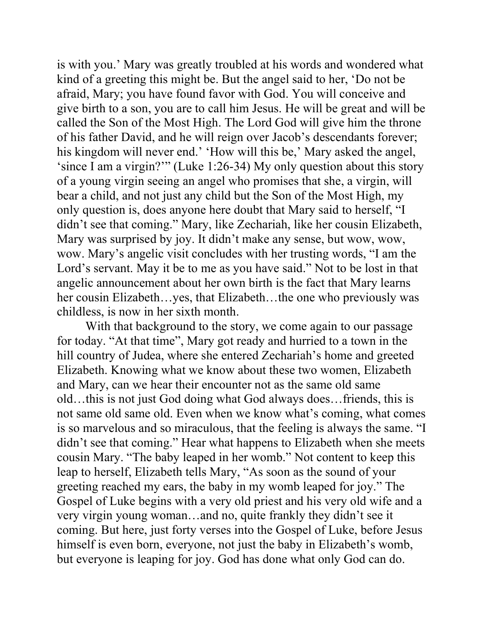is with you.' Mary was greatly troubled at his words and wondered what kind of a greeting this might be. But the angel said to her, 'Do not be afraid, Mary; you have found favor with God. You will conceive and give birth to a son, you are to call him Jesus. He will be great and will be called the Son of the Most High. The Lord God will give him the throne of his father David, and he will reign over Jacob's descendants forever; his kingdom will never end.' 'How will this be,' Mary asked the angel, 'since I am a virgin?'" (Luke 1:26-34) My only question about this story of a young virgin seeing an angel who promises that she, a virgin, will bear a child, and not just any child but the Son of the Most High, my only question is, does anyone here doubt that Mary said to herself, "I didn't see that coming." Mary, like Zechariah, like her cousin Elizabeth, Mary was surprised by joy. It didn't make any sense, but wow, wow, wow. Mary's angelic visit concludes with her trusting words, "I am the Lord's servant. May it be to me as you have said." Not to be lost in that angelic announcement about her own birth is the fact that Mary learns her cousin Elizabeth...yes, that Elizabeth...the one who previously was childless, is now in her sixth month.

With that background to the story, we come again to our passage for today. "At that time", Mary got ready and hurried to a town in the hill country of Judea, where she entered Zechariah's home and greeted Elizabeth. Knowing what we know about these two women, Elizabeth and Mary, can we hear their encounter not as the same old same old…this is not just God doing what God always does…friends, this is not same old same old. Even when we know what's coming, what comes is so marvelous and so miraculous, that the feeling is always the same. "I didn't see that coming." Hear what happens to Elizabeth when she meets cousin Mary. "The baby leaped in her womb." Not content to keep this leap to herself, Elizabeth tells Mary, "As soon as the sound of your greeting reached my ears, the baby in my womb leaped for joy." The Gospel of Luke begins with a very old priest and his very old wife and a very virgin young woman…and no, quite frankly they didn't see it coming. But here, just forty verses into the Gospel of Luke, before Jesus himself is even born, everyone, not just the baby in Elizabeth's womb, but everyone is leaping for joy. God has done what only God can do.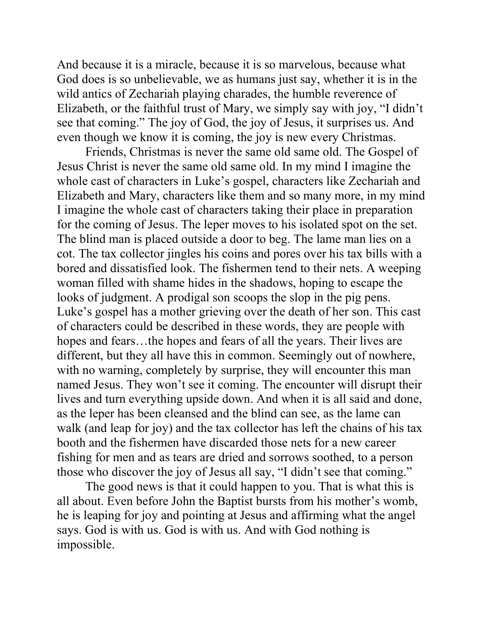And because it is a miracle, because it is so marvelous, because what God does is so unbelievable, we as humans just say, whether it is in the wild antics of Zechariah playing charades, the humble reverence of Elizabeth, or the faithful trust of Mary, we simply say with joy, "I didn't see that coming." The joy of God, the joy of Jesus, it surprises us. And even though we know it is coming, the joy is new every Christmas.

 Friends, Christmas is never the same old same old. The Gospel of Jesus Christ is never the same old same old. In my mind I imagine the whole cast of characters in Luke's gospel, characters like Zechariah and Elizabeth and Mary, characters like them and so many more, in my mind I imagine the whole cast of characters taking their place in preparation for the coming of Jesus. The leper moves to his isolated spot on the set. The blind man is placed outside a door to beg. The lame man lies on a cot. The tax collector jingles his coins and pores over his tax bills with a bored and dissatisfied look. The fishermen tend to their nets. A weeping woman filled with shame hides in the shadows, hoping to escape the looks of judgment. A prodigal son scoops the slop in the pig pens. Luke's gospel has a mother grieving over the death of her son. This cast of characters could be described in these words, they are people with hopes and fears...the hopes and fears of all the years. Their lives are different, but they all have this in common. Seemingly out of nowhere, with no warning, completely by surprise, they will encounter this man named Jesus. They won't see it coming. The encounter will disrupt their lives and turn everything upside down. And when it is all said and done, as the leper has been cleansed and the blind can see, as the lame can walk (and leap for joy) and the tax collector has left the chains of his tax booth and the fishermen have discarded those nets for a new career fishing for men and as tears are dried and sorrows soothed, to a person those who discover the joy of Jesus all say, "I didn't see that coming."

 The good news is that it could happen to you. That is what this is all about. Even before John the Baptist bursts from his mother's womb, he is leaping for joy and pointing at Jesus and affirming what the angel says. God is with us. God is with us. And with God nothing is impossible.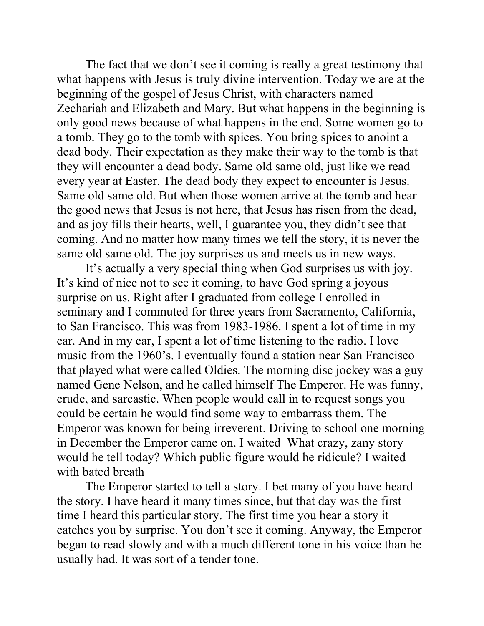The fact that we don't see it coming is really a great testimony that what happens with Jesus is truly divine intervention. Today we are at the beginning of the gospel of Jesus Christ, with characters named Zechariah and Elizabeth and Mary. But what happens in the beginning is only good news because of what happens in the end. Some women go to a tomb. They go to the tomb with spices. You bring spices to anoint a dead body. Their expectation as they make their way to the tomb is that they will encounter a dead body. Same old same old, just like we read every year at Easter. The dead body they expect to encounter is Jesus. Same old same old. But when those women arrive at the tomb and hear the good news that Jesus is not here, that Jesus has risen from the dead, and as joy fills their hearts, well, I guarantee you, they didn't see that coming. And no matter how many times we tell the story, it is never the same old same old. The joy surprises us and meets us in new ways.

 It's actually a very special thing when God surprises us with joy. It's kind of nice not to see it coming, to have God spring a joyous surprise on us. Right after I graduated from college I enrolled in seminary and I commuted for three years from Sacramento, California, to San Francisco. This was from 1983-1986. I spent a lot of time in my car. And in my car, I spent a lot of time listening to the radio. I love music from the 1960's. I eventually found a station near San Francisco that played what were called Oldies. The morning disc jockey was a guy named Gene Nelson, and he called himself The Emperor. He was funny, crude, and sarcastic. When people would call in to request songs you could be certain he would find some way to embarrass them. The Emperor was known for being irreverent. Driving to school one morning in December the Emperor came on. I waited What crazy, zany story would he tell today? Which public figure would he ridicule? I waited with bated breath

 The Emperor started to tell a story. I bet many of you have heard the story. I have heard it many times since, but that day was the first time I heard this particular story. The first time you hear a story it catches you by surprise. You don't see it coming. Anyway, the Emperor began to read slowly and with a much different tone in his voice than he usually had. It was sort of a tender tone.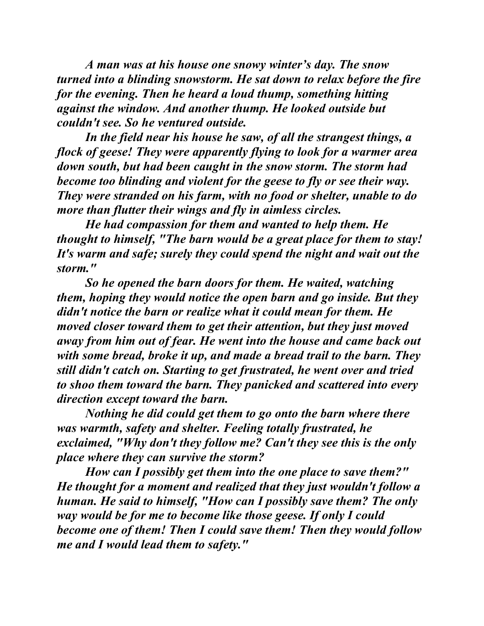A man was at his house one snowy winter's day. The snow turned into a blinding snowstorm. He sat down to relax before the fire for the evening. Then he heard a loud thump, something hitting against the window. And another thump. He looked outside but couldn't see. So he ventured outside.

In the field near his house he saw, of all the strangest things, a flock of geese! They were apparently flying to look for a warmer area down south, but had been caught in the snow storm. The storm had become too blinding and violent for the geese to fly or see their way. They were stranded on his farm, with no food or shelter, unable to do more than flutter their wings and fly in aimless circles.

He had compassion for them and wanted to help them. He thought to himself, "The barn would be a great place for them to stay! It's warm and safe; surely they could spend the night and wait out the storm."

So he opened the barn doors for them. He waited, watching them, hoping they would notice the open barn and go inside. But they didn't notice the barn or realize what it could mean for them. He moved closer toward them to get their attention, but they just moved away from him out of fear. He went into the house and came back out with some bread, broke it up, and made a bread trail to the barn. They still didn't catch on. Starting to get frustrated, he went over and tried to shoo them toward the barn. They panicked and scattered into every direction except toward the barn.

Nothing he did could get them to go onto the barn where there was warmth, safety and shelter. Feeling totally frustrated, he exclaimed, "Why don't they follow me? Can't they see this is the only place where they can survive the storm?

How can I possibly get them into the one place to save them?" He thought for a moment and realized that they just wouldn't follow a human. He said to himself, "How can I possibly save them? The only way would be for me to become like those geese. If only I could become one of them! Then I could save them! Then they would follow me and I would lead them to safety."